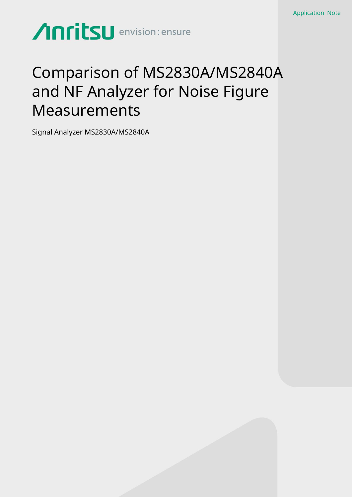# **Anritsu** envision: ensure

## Comparison of MS2830A/MS2840A and NF Analyzer for Noise Figure Measurements

Signal Analyzer MS2830A/MS2840A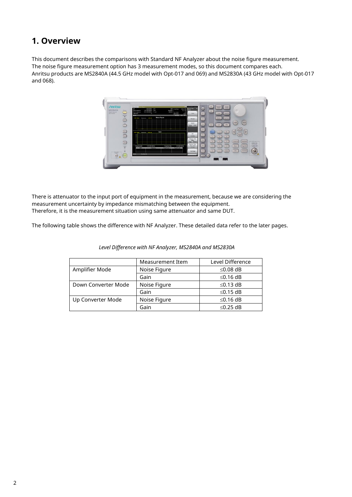#### **1. Overview**

This document describes the comparisons with Standard NF Analyzer about the noise figure measurement. The noise figure measurement option has 3 measurement modes, so this document compares each. Anritsu products are MS2840A (44.5 GHz model with Opt-017 and 069) and MS2830A (43 GHz model with Opt-017 and 068).



There is attenuator to the input port of equipment in the measurement, because we are considering the measurement uncertainty by impedance mismatching between the equipment. Therefore, it is the measurement situation using same attenuator and same DUT.

The following table shows the difference with NF Analyzer. These detailed data refer to the later pages.

|                     | Measurement Item | Level Difference |
|---------------------|------------------|------------------|
| Amplifier Mode      | Noise Figure     | ≤0.08 dB         |
|                     | Gain             | $≤0.16$ dB       |
| Down Converter Mode | Noise Figure     | $≤0.13$ dB       |
|                     | Gain             | $≤0.15$ dB       |
| Up Converter Mode   | Noise Figure     | $≤0.16$ dB       |
|                     | Gain             | $\leq$ 0.25 dB   |

*Level Difference with NF Analyzer, MS2840A and MS2830A*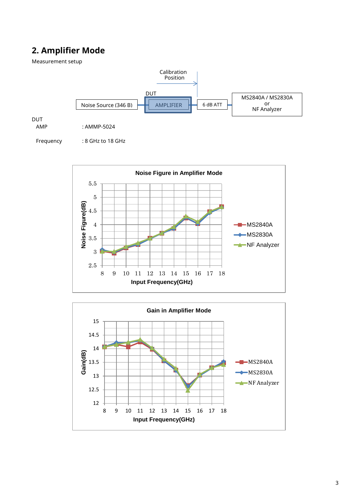### **2. Amplifier Mode**

2.5

Measurement setup



8 9 10 11 12 13 14 15 16 17 18

**Input Frequency(GHz)**

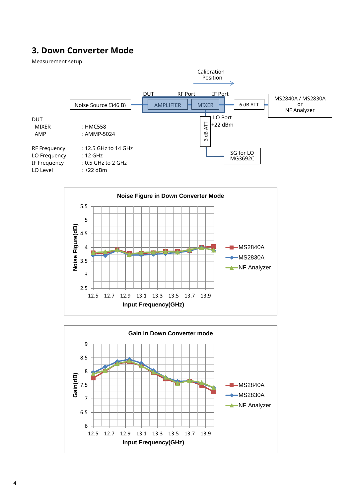### **3. Down Converter Mode**

Measurement setup





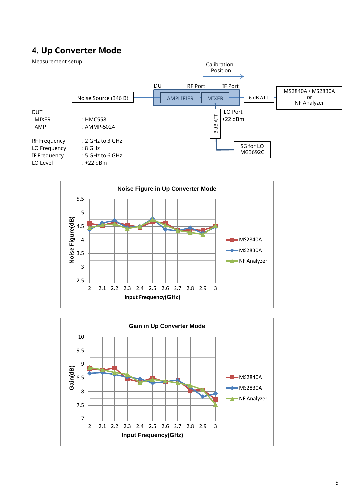#### **4. Up Converter Mode**





**Input Frequency(GHz)**